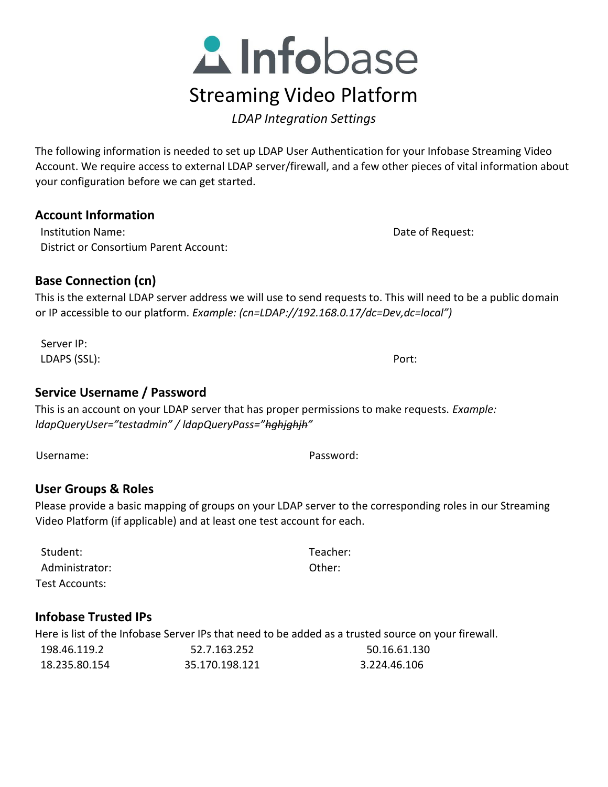

*LDAP Integration Settings* 

The following information is needed to set up LDAP User Authentication for your Infobase Streaming Video Account. We require access to external LDAP server/firewall, and a few other pieces of vital information about your configuration before we can get started.

### **Account Information**

**Institution Name:** Name: Name: 2008. The Contract of Request: 2012 Date of Request: District or Consortium Parent Account:

# **Base Connection (cn)**

This is the external LDAP server address we will use to send requests to. This will need to be a public domain or IP accessible to our platform. *Example: (cn=LDAP://192.168.0.17/dc=Dev,dc=local")*

Server IP: LDAPS (SSL): Port:

### **Service Username / Password**

This is an account on your LDAP server that has proper permissions to make requests. *Example: ldapQueryUser="testadmin" / ldapQueryPass="hghjghjh"* 

Username: Password:

### **User Groups & Roles**

Please provide a basic mapping of groups on your LDAP server to the corresponding roles in our Streaming Video Platform (if applicable) and at least one test account for each.

Student: Teacher: Administrator: Test Accounts:

# **Infobase Trusted IPs**

Here is list of the Infobase Server IPs that need to be added as a trusted source on your firewall.

| 198.46.119.2  | 52.7.163.252   | 50.16.61.130 |
|---------------|----------------|--------------|
| 18.235.80.154 | 35.170.198.121 | 3.224.46.106 |

Other: